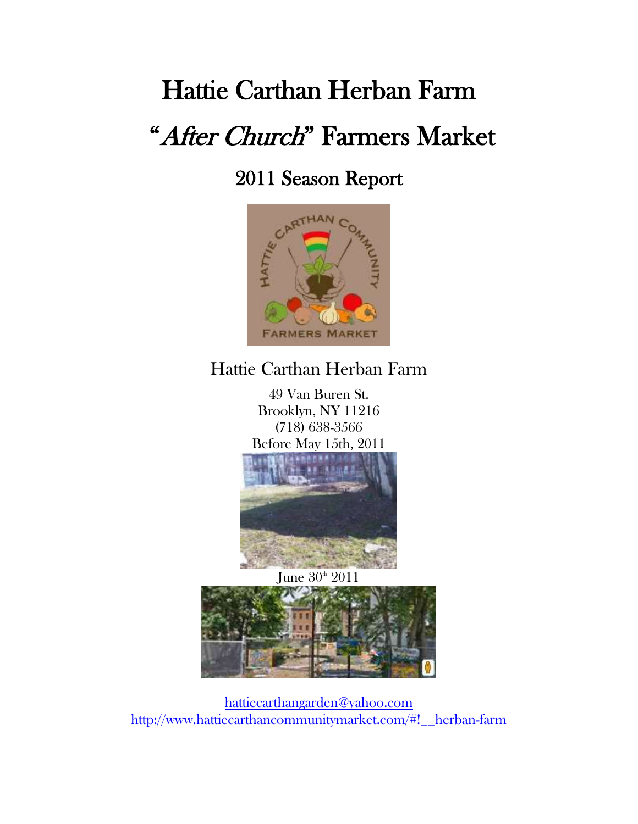# Hattie Carthan Herban Farm

## "After Church" Farmers Market

2011 Season Report



### Hattie Carthan Herban Farm

49 Van Buren St. Brooklyn, NY 11216 (718) 638-3566 Before May 15th, 2011







[hattiecarthangarden@yahoo.com](mailto:hattiecarthangarden@yahoo.com) [http://www.hattiecarthancommunitymarket.com/#!\\_\\_herban-farm](http://www.hattiecarthancommunitymarket.com/#!__herban-farm)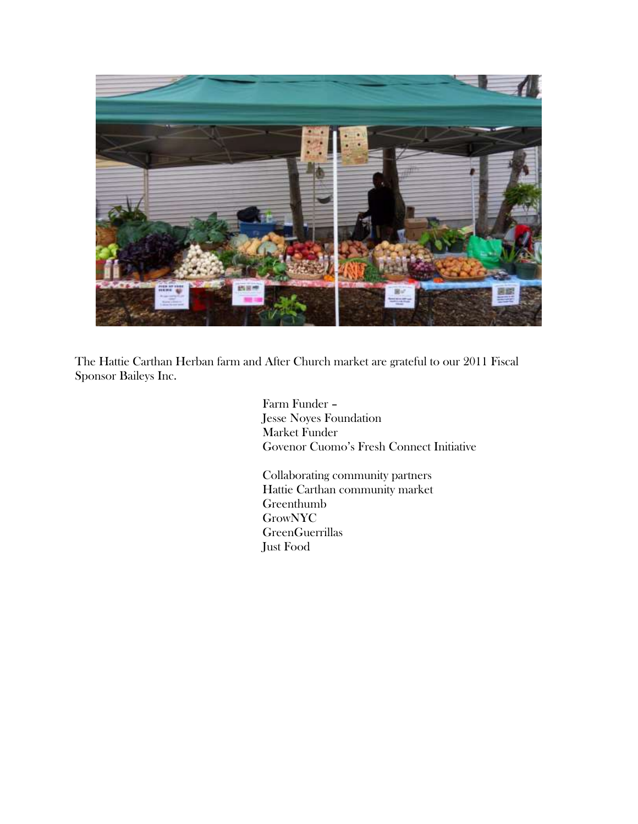

The Hattie Carthan Herban farm and After Church market are grateful to our 2011 Fiscal Sponsor Baileys Inc.

> Farm Funder – Jesse Noyes Foundation Market Funder Govenor Cuomo's Fresh Connect Initiative

Collaborating community partners Hattie Carthan community market Greenthumb GrowNYC GreenGuerrillas Just Food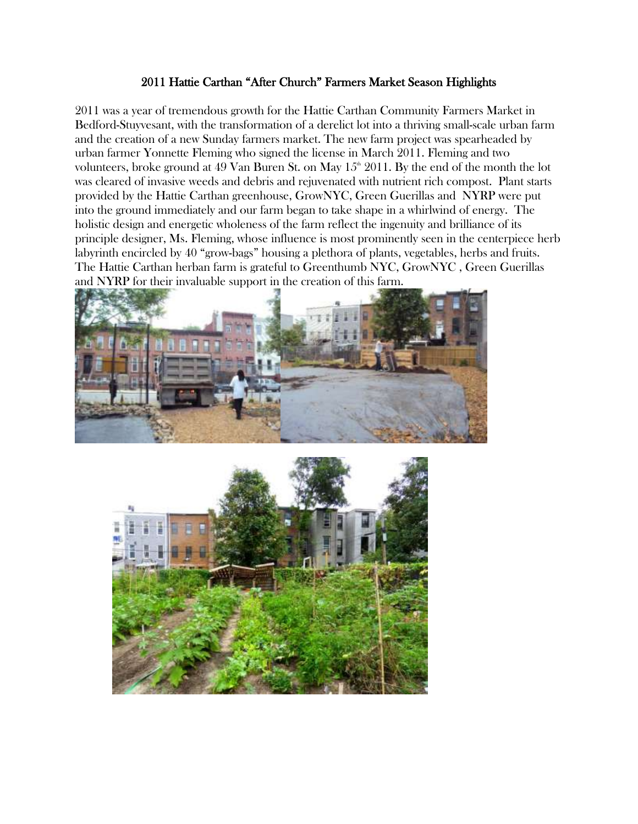#### 2011 Hattie Carthan "After Church" Farmers Market Season Highlights

2011 was a year of tremendous growth for the Hattie Carthan Community Farmers Market in Bedford-Stuyvesant, with the transformation of a derelict lot into a thriving small-scale urban farm and the creation of a new Sunday farmers market. The new farm project was spearheaded by urban farmer Yonnette Fleming who signed the license in March 2011. Fleming and two volunteers, broke ground at 49 Van Buren St. on May  $15^{\text{th}}$  2011. By the end of the month the lot was cleared of invasive weeds and debris and rejuvenated with nutrient rich compost. Plant starts provided by the Hattie Carthan greenhouse, GrowNYC, Green Guerillas and NYRP were put into the ground immediately and our farm began to take shape in a whirlwind of energy. The holistic design and energetic wholeness of the farm reflect the ingenuity and brilliance of its principle designer, Ms. Fleming, whose influence is most prominently seen in the centerpiece herb labyrinth encircled by 40 "grow-bags" housing a plethora of plants, vegetables, herbs and fruits. The Hattie Carthan herban farm is grateful to Greenthumb NYC, GrowNYC , Green Guerillas and NYRP for their invaluable support in the creation of this farm.



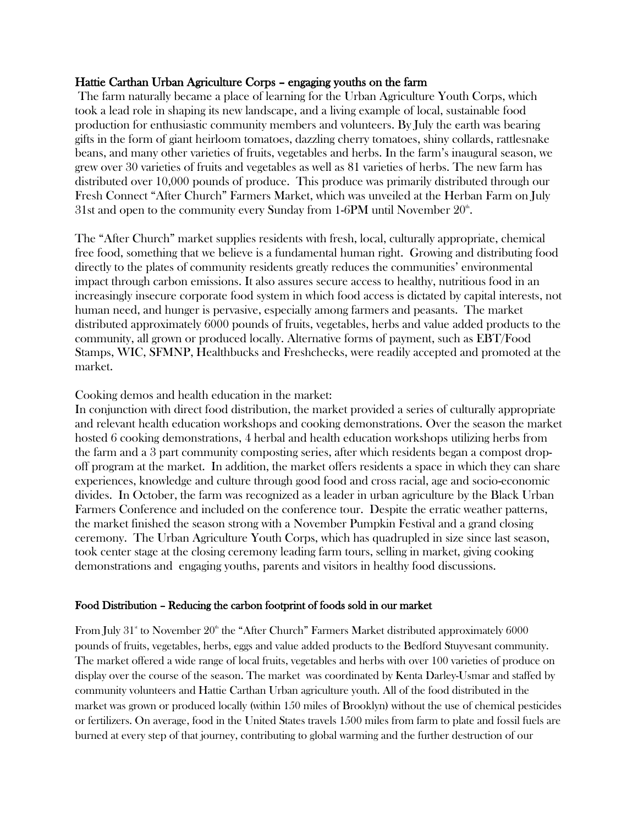#### Hattie Carthan Urban Agriculture Corps – engaging youths on the farm

The farm naturally became a place of learning for the Urban Agriculture Youth Corps, which took a lead role in shaping its new landscape, and a living example of local, sustainable food production for enthusiastic community members and volunteers. By July the earth was bearing gifts in the form of giant heirloom tomatoes, dazzling cherry tomatoes, shiny collards, rattlesnake beans, and many other varieties of fruits, vegetables and herbs. In the farm's inaugural season, we grew over 30 varieties of fruits and vegetables as well as 81 varieties of herbs. The new farm has distributed over 10,000 pounds of produce. This produce was primarily distributed through our Fresh Connect "After Church" Farmers Market, which was unveiled at the Herban Farm on July 31st and open to the community every Sunday from 1-6PM until November  $20^{\circ}$ .

The "After Church" market supplies residents with fresh, local, culturally appropriate, chemical free food, something that we believe is a fundamental human right. Growing and distributing food directly to the plates of community residents greatly reduces the communities' environmental impact through carbon emissions. It also assures secure access to healthy, nutritious food in an increasingly insecure corporate food system in which food access is dictated by capital interests, not human need, and hunger is pervasive, especially among farmers and peasants. The market distributed approximately 6000 pounds of fruits, vegetables, herbs and value added products to the community, all grown or produced locally. Alternative forms of payment, such as EBT/Food Stamps, WIC, SFMNP, Healthbucks and Freshchecks, were readily accepted and promoted at the market.

#### Cooking demos and health education in the market:

In conjunction with direct food distribution, the market provided a series of culturally appropriate and relevant health education workshops and cooking demonstrations. Over the season the market hosted 6 cooking demonstrations, 4 herbal and health education workshops utilizing herbs from the farm and a 3 part community composting series, after which residents began a compost dropoff program at the market. In addition, the market offers residents a space in which they can share experiences, knowledge and culture through good food and cross racial, age and socio-economic divides. In October, the farm was recognized as a leader in urban agriculture by the Black Urban Farmers Conference and included on the conference tour. Despite the erratic weather patterns, the market finished the season strong with a November Pumpkin Festival and a grand closing ceremony. The Urban Agriculture Youth Corps, which has quadrupled in size since last season, took center stage at the closing ceremony leading farm tours, selling in market, giving cooking demonstrations and engaging youths, parents and visitors in healthy food discussions.

#### Food Distribution – Reducing the carbon footprint of foods sold in our market

From July 31 $^{\circ}$  to November  $20^{\circ}$  the "After Church" Farmers Market distributed approximately 6000 pounds of fruits, vegetables, herbs, eggs and value added products to the Bedford Stuyvesant community. The market offered a wide range of local fruits, vegetables and herbs with over 100 varieties of produce on display over the course of the season. The market was coordinated by Kenta Darley-Usmar and staffed by community volunteers and Hattie Carthan Urban agriculture youth. All of the food distributed in the market was grown or produced locally (within 150 miles of Brooklyn) without the use of chemical pesticides or fertilizers. On average, food in the United States travels 1500 miles from farm to plate and fossil fuels are burned at every step of that journey, contributing to global warming and the further destruction of our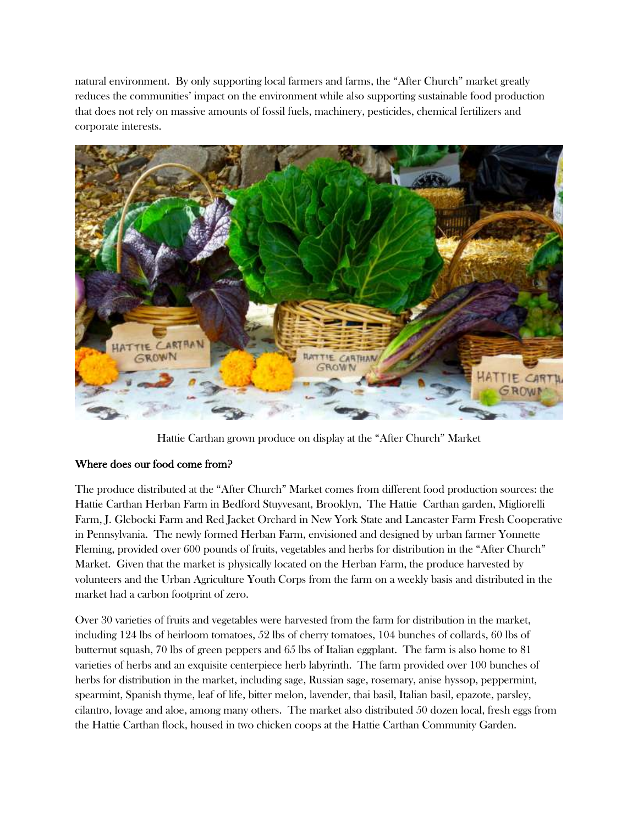natural environment. By only supporting local farmers and farms, the "After Church" market greatly reduces the communities' impact on the environment while also supporting sustainable food production that does not rely on massive amounts of fossil fuels, machinery, pesticides, chemical fertilizers and corporate interests.



Hattie Carthan grown produce on display at the "After Church" Market

#### Where does our food come from?

The produce distributed at the "After Church" Market comes from different food production sources: the Hattie Carthan Herban Farm in Bedford Stuyvesant, Brooklyn, The Hattie Carthan garden, Migliorelli Farm, J. Glebocki Farm and Red Jacket Orchard in New York State and Lancaster Farm Fresh Cooperative in Pennsylvania. The newly formed Herban Farm, envisioned and designed by urban farmer Yonnette Fleming, provided over 600 pounds of fruits, vegetables and herbs for distribution in the "After Church" Market. Given that the market is physically located on the Herban Farm, the produce harvested by volunteers and the Urban Agriculture Youth Corps from the farm on a weekly basis and distributed in the market had a carbon footprint of zero.

Over 30 varieties of fruits and vegetables were harvested from the farm for distribution in the market, including 124 lbs of heirloom tomatoes, 52 lbs of cherry tomatoes, 104 bunches of collards, 60 lbs of butternut squash, 70 lbs of green peppers and 65 lbs of Italian eggplant. The farm is also home to 81 varieties of herbs and an exquisite centerpiece herb labyrinth. The farm provided over 100 bunches of herbs for distribution in the market, including sage, Russian sage, rosemary, anise hyssop, peppermint, spearmint, Spanish thyme, leaf of life, bitter melon, lavender, thai basil, Italian basil, epazote, parsley, cilantro, lovage and aloe, among many others. The market also distributed 50 dozen local, fresh eggs from the Hattie Carthan flock, housed in two chicken coops at the Hattie Carthan Community Garden.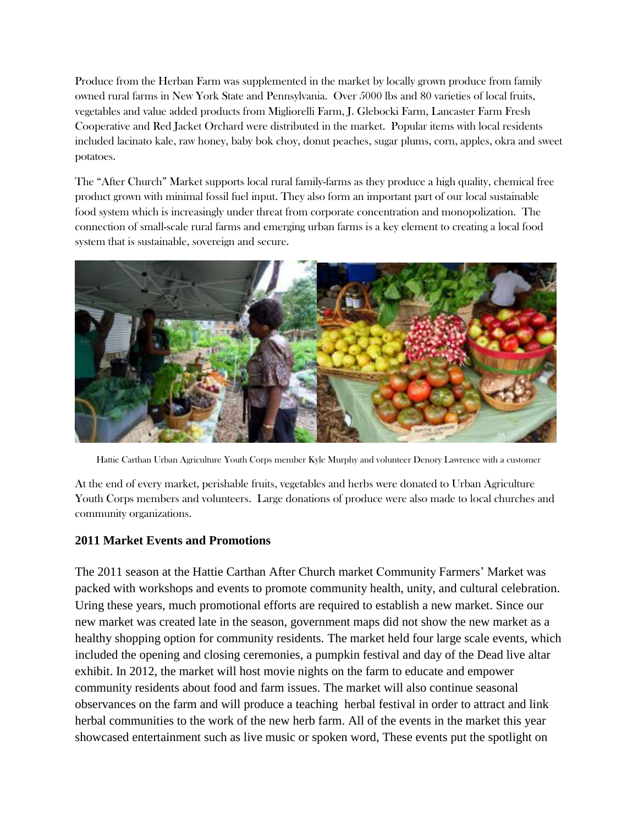Produce from the Herban Farm was supplemented in the market by locally grown produce from family owned rural farms in New York State and Pennsylvania. Over 5000 lbs and 80 varieties of local fruits, vegetables and value added products from Migliorelli Farm, J. Glebocki Farm, Lancaster Farm Fresh Cooperative and Red Jacket Orchard were distributed in the market. Popular items with local residents included lacinato kale, raw honey, baby bok choy, donut peaches, sugar plums, corn, apples, okra and sweet potatoes.

The "After Church" Market supports local rural family-farms as they produce a high quality, chemical free product grown with minimal fossil fuel input. They also form an important part of our local sustainable food system which is increasingly under threat from corporate concentration and monopolization. The connection of small-scale rural farms and emerging urban farms is a key element to creating a local food system that is sustainable, sovereign and secure.



Hattie Carthan Urban Agriculture Youth Corps member Kyle Murphy and volunteer Denory Lawrence with a customer

At the end of every market, perishable fruits, vegetables and herbs were donated to Urban Agriculture Youth Corps members and volunteers. Large donations of produce were also made to local churches and community organizations.

#### **2011 Market Events and Promotions**

The 2011 season at the Hattie Carthan After Church market Community Farmers' Market was packed with workshops and events to promote community health, unity, and cultural celebration. Uring these years, much promotional efforts are required to establish a new market. Since our new market was created late in the season, government maps did not show the new market as a healthy shopping option for community residents. The market held four large scale events, which included the opening and closing ceremonies, a pumpkin festival and day of the Dead live altar exhibit. In 2012, the market will host movie nights on the farm to educate and empower community residents about food and farm issues. The market will also continue seasonal observances on the farm and will produce a teaching herbal festival in order to attract and link herbal communities to the work of the new herb farm. All of the events in the market this year showcased entertainment such as live music or spoken word, These events put the spotlight on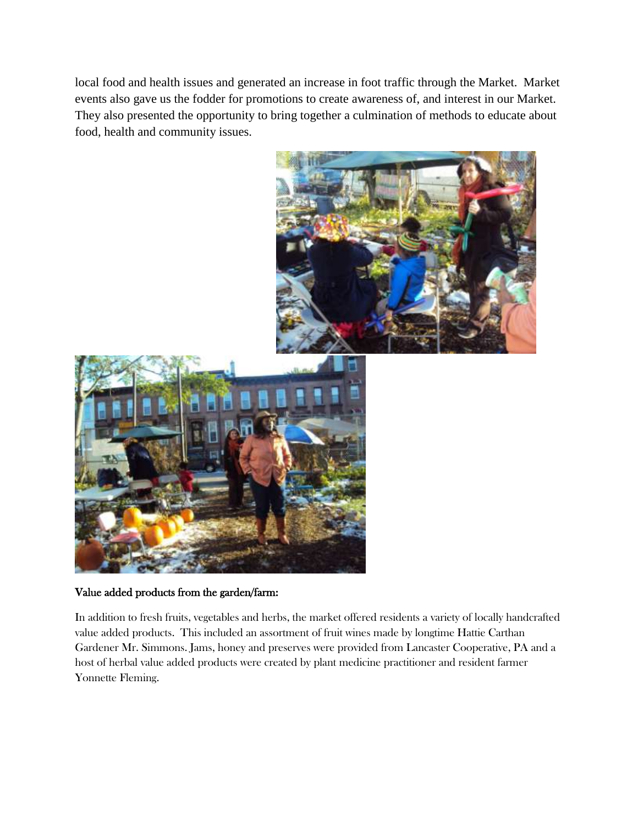local food and health issues and generated an increase in foot traffic through the Market. Market events also gave us the fodder for promotions to create awareness of, and interest in our Market. They also presented the opportunity to bring together a culmination of methods to educate about food, health and community issues.





#### Value added products from the garden/farm:

In addition to fresh fruits, vegetables and herbs, the market offered residents a variety of locally handcrafted value added products. This included an assortment of fruit wines made by longtime Hattie Carthan Gardener Mr. Simmons. Jams, honey and preserves were provided from Lancaster Cooperative, PA and a host of herbal value added products were created by plant medicine practitioner and resident farmer Yonnette Fleming.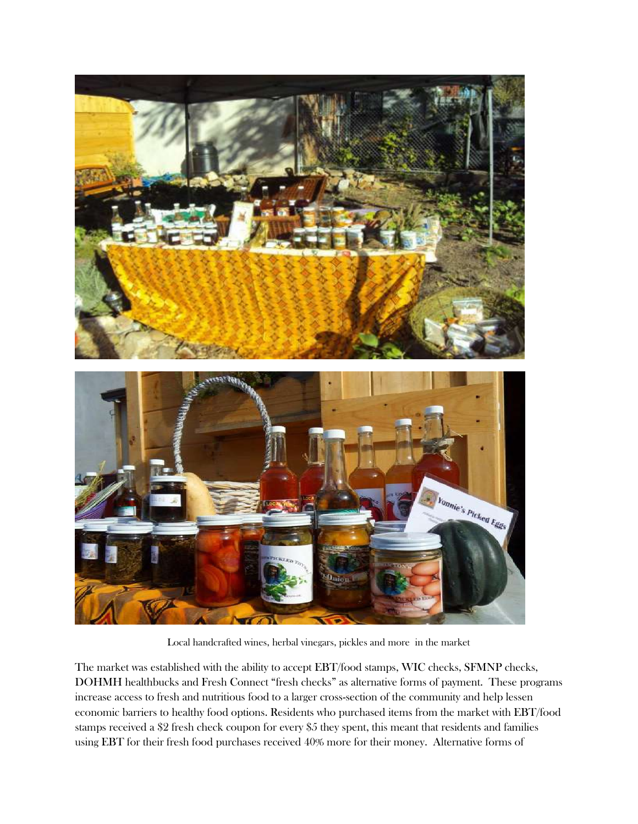

Local handcrafted wines, herbal vinegars, pickles and more in the market

The market was established with the ability to accept EBT/food stamps, WIC checks, SFMNP checks, DOHMH healthbucks and Fresh Connect "fresh checks" as alternative forms of payment. These programs increase access to fresh and nutritious food to a larger cross-section of the community and help lessen economic barriers to healthy food options. Residents who purchased items from the market with EBT/food stamps received a \$2 fresh check coupon for every \$5 they spent, this meant that residents and families using EBT for their fresh food purchases received 40% more for their money. Alternative forms of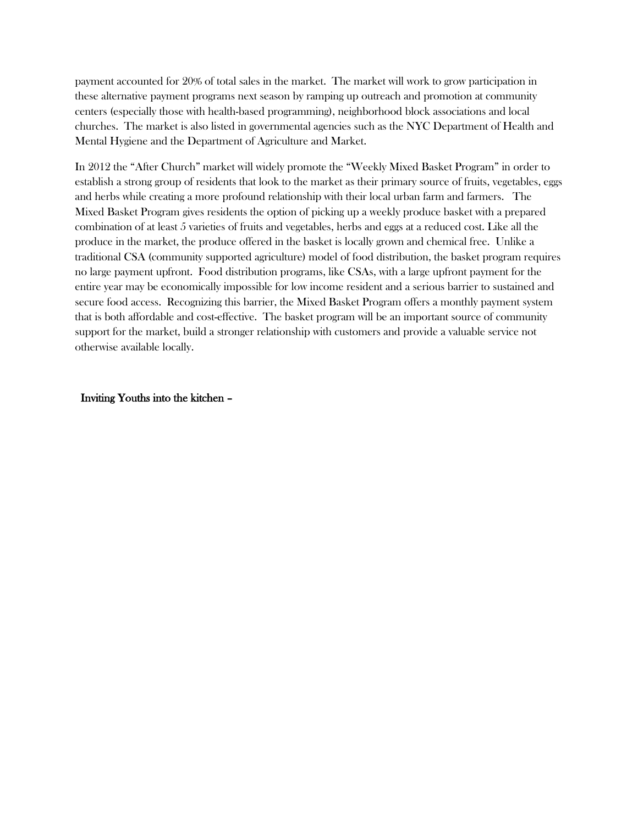payment accounted for 20% of total sales in the market. The market will work to grow participation in these alternative payment programs next season by ramping up outreach and promotion at community centers (especially those with health-based programming), neighborhood block associations and local churches. The market is also listed in governmental agencies such as the NYC Department of Health and Mental Hygiene and the Department of Agriculture and Market.

In 2012 the "After Church" market will widely promote the "Weekly Mixed Basket Program" in order to establish a strong group of residents that look to the market as their primary source of fruits, vegetables, eggs and herbs while creating a more profound relationship with their local urban farm and farmers. The Mixed Basket Program gives residents the option of picking up a weekly produce basket with a prepared combination of at least 5 varieties of fruits and vegetables, herbs and eggs at a reduced cost. Like all the produce in the market, the produce offered in the basket is locally grown and chemical free. Unlike a traditional CSA (community supported agriculture) model of food distribution, the basket program requires no large payment upfront. Food distribution programs, like CSAs, with a large upfront payment for the entire year may be economically impossible for low income resident and a serious barrier to sustained and secure food access. Recognizing this barrier, the Mixed Basket Program offers a monthly payment system that is both affordable and cost-effective. The basket program will be an important source of community support for the market, build a stronger relationship with customers and provide a valuable service not otherwise available locally.

#### Inviting Youths into the kitchen –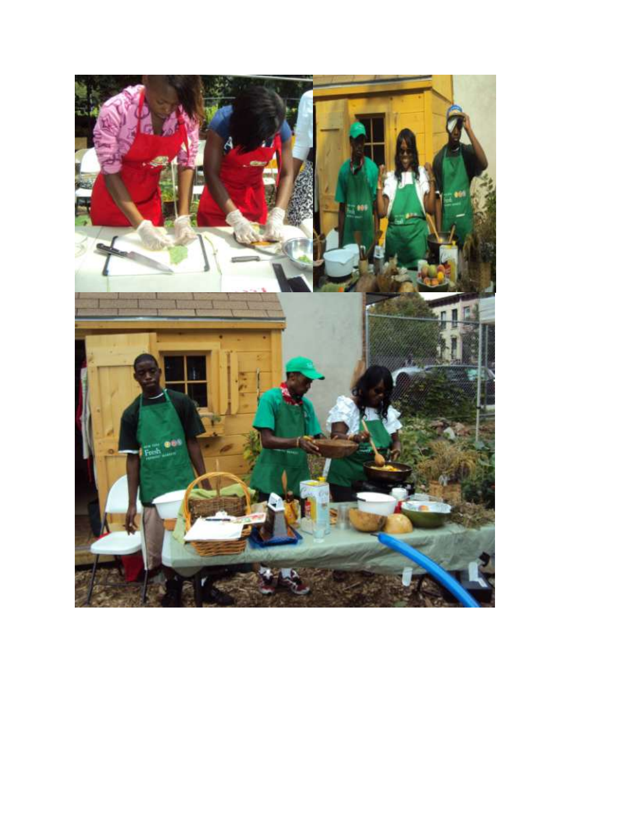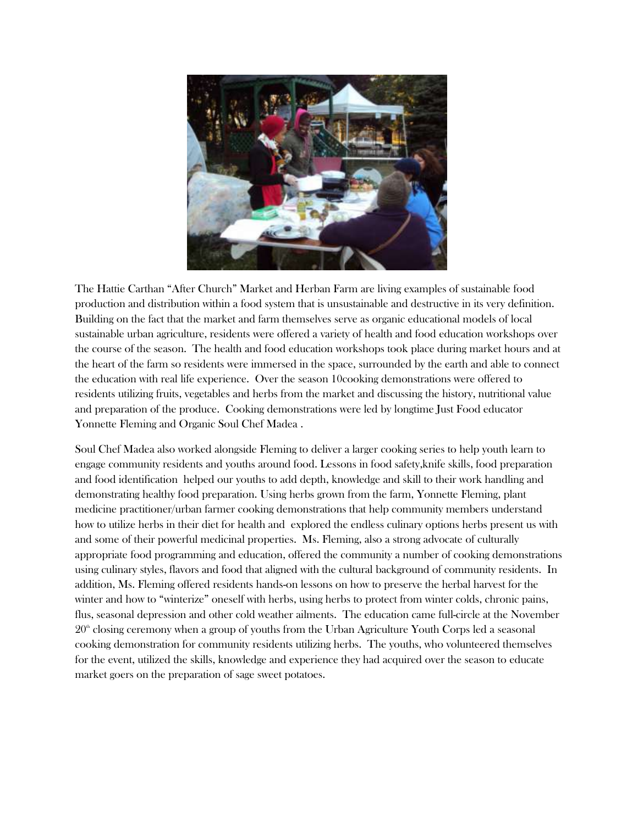

The Hattie Carthan "After Church" Market and Herban Farm are living examples of sustainable food production and distribution within a food system that is unsustainable and destructive in its very definition. Building on the fact that the market and farm themselves serve as organic educational models of local sustainable urban agriculture, residents were offered a variety of health and food education workshops over the course of the season. The health and food education workshops took place during market hours and at the heart of the farm so residents were immersed in the space, surrounded by the earth and able to connect the education with real life experience. Over the season 10cooking demonstrations were offered to residents utilizing fruits, vegetables and herbs from the market and discussing the history, nutritional value and preparation of the produce. Cooking demonstrations were led by longtime Just Food educator Yonnette Fleming and Organic Soul Chef Madea .

Soul Chef Madea also worked alongside Fleming to deliver a larger cooking series to help youth learn to engage community residents and youths around food. Lessons in food safety,knife skills, food preparation and food identification helped our youths to add depth, knowledge and skill to their work handling and demonstrating healthy food preparation. Using herbs grown from the farm, Yonnette Fleming, plant medicine practitioner/urban farmer cooking demonstrations that help community members understand how to utilize herbs in their diet for health and explored the endless culinary options herbs present us with and some of their powerful medicinal properties. Ms. Fleming, also a strong advocate of culturally appropriate food programming and education, offered the community a number of cooking demonstrations using culinary styles, flavors and food that aligned with the cultural background of community residents. In addition, Ms. Fleming offered residents hands-on lessons on how to preserve the herbal harvest for the winter and how to "winterize" oneself with herbs, using herbs to protect from winter colds, chronic pains, flus, seasonal depression and other cold weather ailments. The education came full-circle at the November  $20<sup>th</sup>$  closing ceremony when a group of youths from the Urban Agriculture Youth Corps led a seasonal cooking demonstration for community residents utilizing herbs. The youths, who volunteered themselves for the event, utilized the skills, knowledge and experience they had acquired over the season to educate market goers on the preparation of sage sweet potatoes.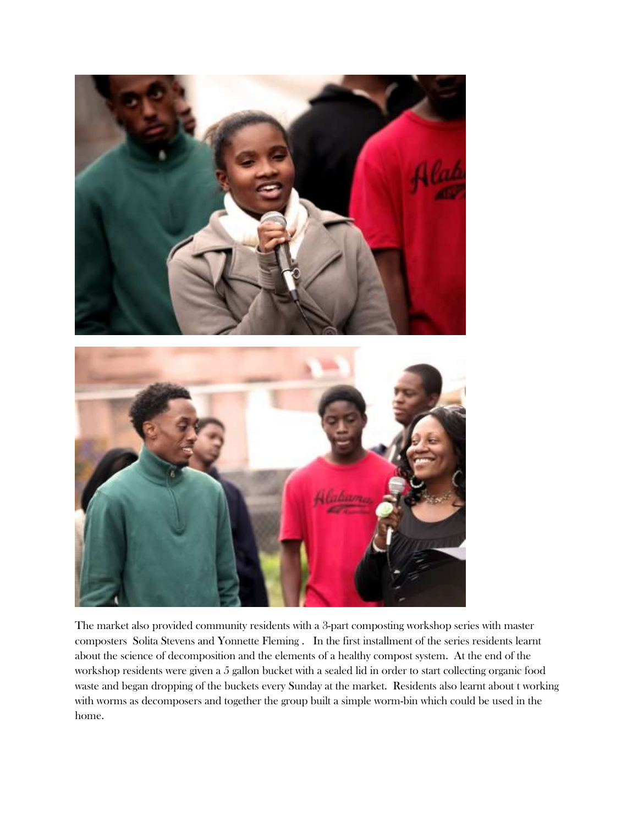

The market also provided community residents with a 3-part composting workshop series with master composters Solita Stevens and Yonnette Fleming . In the first installment of the series residents learnt about the science of decomposition and the elements of a healthy compost system. At the end of the workshop residents were given a 5 gallon bucket with a sealed lid in order to start collecting organic food waste and began dropping of the buckets every Sunday at the market. Residents also learnt about t working with worms as decomposers and together the group built a simple worm-bin which could be used in the home.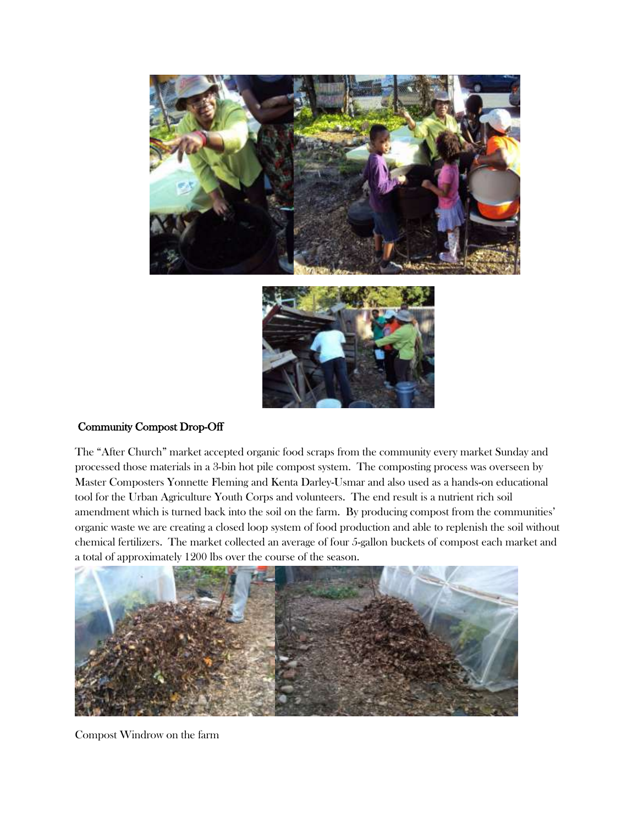



#### Community Compost Drop-Off

The "After Church" market accepted organic food scraps from the community every market Sunday and processed those materials in a 3-bin hot pile compost system. The composting process was overseen by Master Composters Yonnette Fleming and Kenta Darley-Usmar and also used as a hands-on educational tool for the Urban Agriculture Youth Corps and volunteers. The end result is a nutrient rich soil amendment which is turned back into the soil on the farm. By producing compost from the communities' organic waste we are creating a closed loop system of food production and able to replenish the soil without chemical fertilizers. The market collected an average of four 5-gallon buckets of compost each market and a total of approximately 1200 lbs over the course of the season.



Compost Windrow on the farm